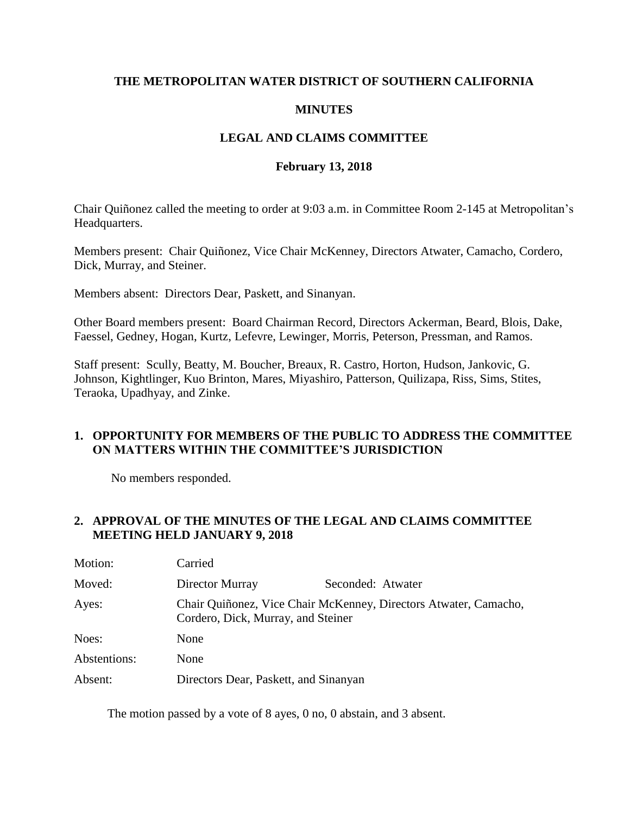### **THE METROPOLITAN WATER DISTRICT OF SOUTHERN CALIFORNIA**

### **MINUTES**

## **LEGAL AND CLAIMS COMMITTEE**

#### **February 13, 2018**

Chair Quiñonez called the meeting to order at 9:03 a.m. in Committee Room 2-145 at Metropolitan's Headquarters.

Members present: Chair Quiñonez, Vice Chair McKenney, Directors Atwater, Camacho, Cordero, Dick, Murray, and Steiner.

Members absent: Directors Dear, Paskett, and Sinanyan.

Other Board members present: Board Chairman Record, Directors Ackerman, Beard, Blois, Dake, Faessel, Gedney, Hogan, Kurtz, Lefevre, Lewinger, Morris, Peterson, Pressman, and Ramos.

Staff present: Scully, Beatty, M. Boucher, Breaux, R. Castro, Horton, Hudson, Jankovic, G. Johnson, Kightlinger, Kuo Brinton, Mares, Miyashiro, Patterson, Quilizapa, Riss, Sims, Stites, Teraoka, Upadhyay, and Zinke.

#### **1. OPPORTUNITY FOR MEMBERS OF THE PUBLIC TO ADDRESS THE COMMITTEE ON MATTERS WITHIN THE COMMITTEE'S JURISDICTION**

No members responded.

## **2. APPROVAL OF THE MINUTES OF THE LEGAL AND CLAIMS COMMITTEE MEETING HELD JANUARY 9, 2018**

| Motion:      | Carried                               |                                                                  |
|--------------|---------------------------------------|------------------------------------------------------------------|
| Moved:       | Director Murray                       | Seconded: Atwater                                                |
| Ayes:        | Cordero, Dick, Murray, and Steiner    | Chair Quiñonez, Vice Chair McKenney, Directors Atwater, Camacho, |
| Noes:        | None                                  |                                                                  |
| Abstentions: | None                                  |                                                                  |
| Absent:      | Directors Dear, Paskett, and Sinanyan |                                                                  |

The motion passed by a vote of 8 ayes, 0 no, 0 abstain, and 3 absent.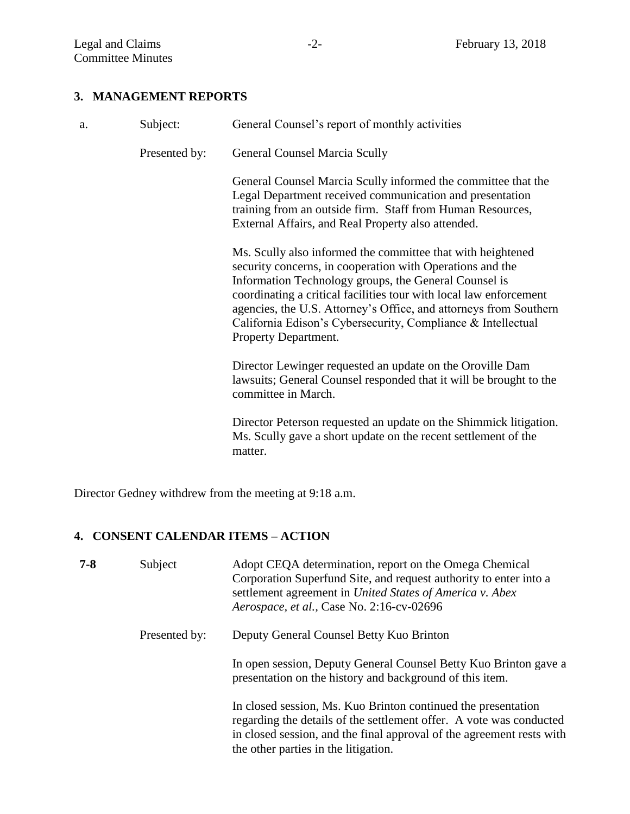# **3. MANAGEMENT REPORTS**

| a. | Subject:      | General Counsel's report of monthly activities                                                                                                                                                                                                                                                                                                                                                                       |
|----|---------------|----------------------------------------------------------------------------------------------------------------------------------------------------------------------------------------------------------------------------------------------------------------------------------------------------------------------------------------------------------------------------------------------------------------------|
|    | Presented by: | <b>General Counsel Marcia Scully</b>                                                                                                                                                                                                                                                                                                                                                                                 |
|    |               | General Counsel Marcia Scully informed the committee that the<br>Legal Department received communication and presentation<br>training from an outside firm. Staff from Human Resources,<br>External Affairs, and Real Property also attended.                                                                                                                                                                        |
|    |               | Ms. Scully also informed the committee that with heightened<br>security concerns, in cooperation with Operations and the<br>Information Technology groups, the General Counsel is<br>coordinating a critical facilities tour with local law enforcement<br>agencies, the U.S. Attorney's Office, and attorneys from Southern<br>California Edison's Cybersecurity, Compliance & Intellectual<br>Property Department. |
|    |               | Director Lewinger requested an update on the Oroville Dam<br>lawsuits; General Counsel responded that it will be brought to the<br>committee in March.                                                                                                                                                                                                                                                               |
|    |               | Director Peterson requested an update on the Shimmick litigation.<br>Ms. Scully gave a short update on the recent settlement of the<br>matter.                                                                                                                                                                                                                                                                       |

Director Gedney withdrew from the meeting at 9:18 a.m.

# **4. CONSENT CALENDAR ITEMS – ACTION**

| $7 - 8$ | Subject       | Adopt CEQA determination, report on the Omega Chemical<br>Corporation Superfund Site, and request authority to enter into a<br>settlement agreement in United States of America v. Abex<br>Aerospace, et al., Case No. 2:16-cv-02696                  |
|---------|---------------|-------------------------------------------------------------------------------------------------------------------------------------------------------------------------------------------------------------------------------------------------------|
|         | Presented by: | Deputy General Counsel Betty Kuo Brinton                                                                                                                                                                                                              |
|         |               | In open session, Deputy General Counsel Betty Kuo Brinton gave a<br>presentation on the history and background of this item.                                                                                                                          |
|         |               | In closed session, Ms. Kuo Brinton continued the presentation<br>regarding the details of the settlement offer. A vote was conducted<br>in closed session, and the final approval of the agreement rests with<br>the other parties in the litigation. |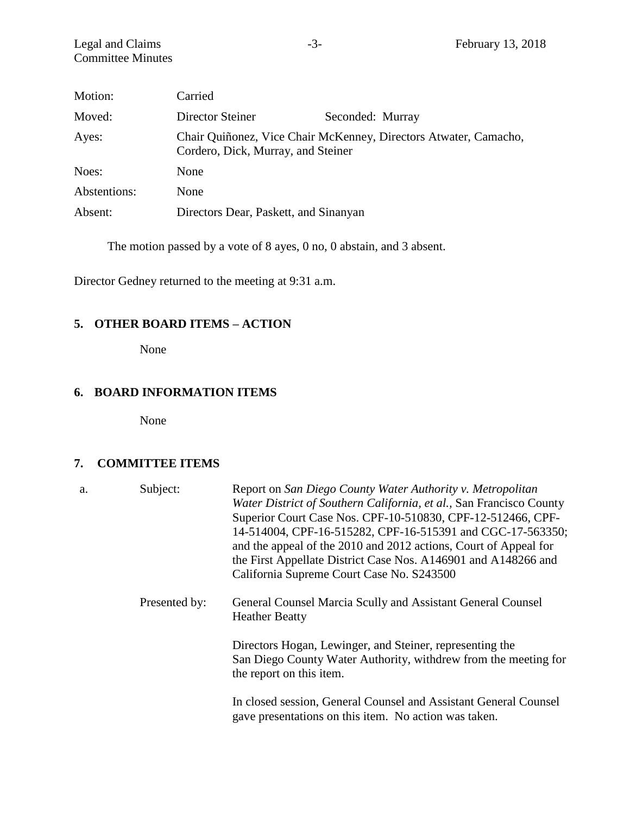| Motion:      | Carried                               |                                                                  |
|--------------|---------------------------------------|------------------------------------------------------------------|
| Moved:       | Director Steiner                      | Seconded: Murray                                                 |
| Ayes:        | Cordero, Dick, Murray, and Steiner    | Chair Quiñonez, Vice Chair McKenney, Directors Atwater, Camacho, |
| Noes:        | None                                  |                                                                  |
| Abstentions: | None                                  |                                                                  |
| Absent:      | Directors Dear, Paskett, and Sinanyan |                                                                  |

The motion passed by a vote of 8 ayes, 0 no, 0 abstain, and 3 absent.

Director Gedney returned to the meeting at 9:31 a.m.

## **5. OTHER BOARD ITEMS – ACTION**

None

# **6. BOARD INFORMATION ITEMS**

None

#### **7. COMMITTEE ITEMS**

| a. | Subject:      | Report on San Diego County Water Authority v. Metropolitan<br>Water District of Southern California, et al., San Francisco County<br>Superior Court Case Nos. CPF-10-510830, CPF-12-512466, CPF-<br>14-514004, CPF-16-515282, CPF-16-515391 and CGC-17-563350;<br>and the appeal of the 2010 and 2012 actions, Court of Appeal for<br>the First Appellate District Case Nos. A146901 and A148266 and<br>California Supreme Court Case No. S243500 |
|----|---------------|---------------------------------------------------------------------------------------------------------------------------------------------------------------------------------------------------------------------------------------------------------------------------------------------------------------------------------------------------------------------------------------------------------------------------------------------------|
|    | Presented by: | General Counsel Marcia Scully and Assistant General Counsel<br><b>Heather Beatty</b>                                                                                                                                                                                                                                                                                                                                                              |
|    |               | Directors Hogan, Lewinger, and Steiner, representing the<br>San Diego County Water Authority, withdrew from the meeting for<br>the report on this item.                                                                                                                                                                                                                                                                                           |
|    |               | In closed session, General Counsel and Assistant General Counsel<br>gave presentations on this item. No action was taken.                                                                                                                                                                                                                                                                                                                         |